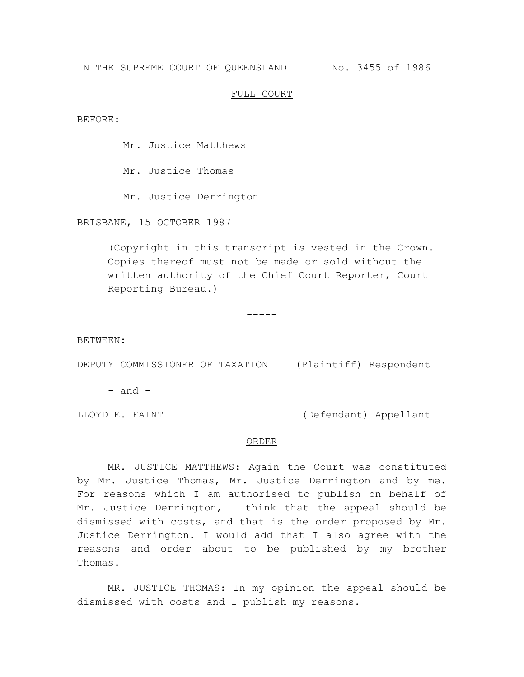# IN THE SUPREME COURT OF QUEENSLAND No. 3455 of 1986

### FULL COURT

#### BEFORE:

Mr. Justice Matthews

Mr. Justice Thomas

Mr. Justice Derrington

# BRISBANE, 15 OCTOBER 1987

(Copyright in this transcript is vested in the Crown. Copies thereof must not be made or sold without the written authority of the Chief Court Reporter, Court Reporting Bureau.)

-----

BETWEEN:

DEPUTY COMMISSIONER OF TAXATION (Plaintiff) Respondent

 $-$  and  $-$ 

LLOYD E. FAINT (Defendant) Appellant

# ORDER

MR. JUSTICE MATTHEWS: Again the Court was constituted by Mr. Justice Thomas, Mr. Justice Derrington and by me. For reasons which I am authorised to publish on behalf of Mr. Justice Derrington, I think that the appeal should be dismissed with costs, and that is the order proposed by Mr. Justice Derrington. I would add that I also agree with the reasons and order about to be published by my brother Thomas.

MR. JUSTICE THOMAS: In my opinion the appeal should be dismissed with costs and I publish my reasons.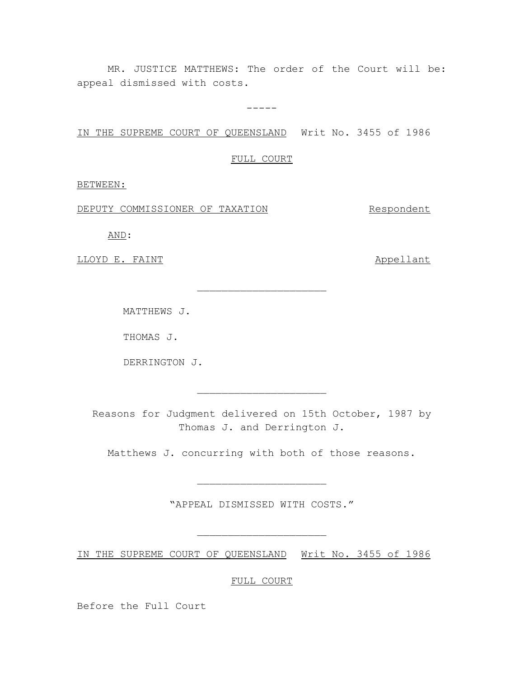MR. JUSTICE MATTHEWS: The order of the Court will be: appeal dismissed with costs.

-----

IN THE SUPREME COURT OF QUEENSLAND Writ No. 3455 of 1986

FULL COURT

 $\overline{\phantom{a}}$  , where  $\overline{\phantom{a}}$  , where  $\overline{\phantom{a}}$  , where  $\overline{\phantom{a}}$ 

BETWEEN:

DEPUTY COMMISSIONER OF TAXATION Respondent

AND:

LLOYD E. FAINT Appellant

MATTHEWS J.

THOMAS J.

DERRINGTON J.

Reasons for Judgment delivered on 15th October, 1987 by Thomas J. and Derrington J.

 $\overline{\phantom{a}}$  , where  $\overline{\phantom{a}}$  , where  $\overline{\phantom{a}}$  , where  $\overline{\phantom{a}}$ 

Matthews J. concurring with both of those reasons.

"APPEAL DISMISSED WITH COSTS."

 $\overline{\phantom{a}}$  , where  $\overline{\phantom{a}}$  , where  $\overline{\phantom{a}}$  , where  $\overline{\phantom{a}}$ 

 $\overbrace{\phantom{xxxxx}}$ 

IN THE SUPREME COURT OF QUEENSLAND Writ No. 3455 of 1986

FULL COURT

Before the Full Court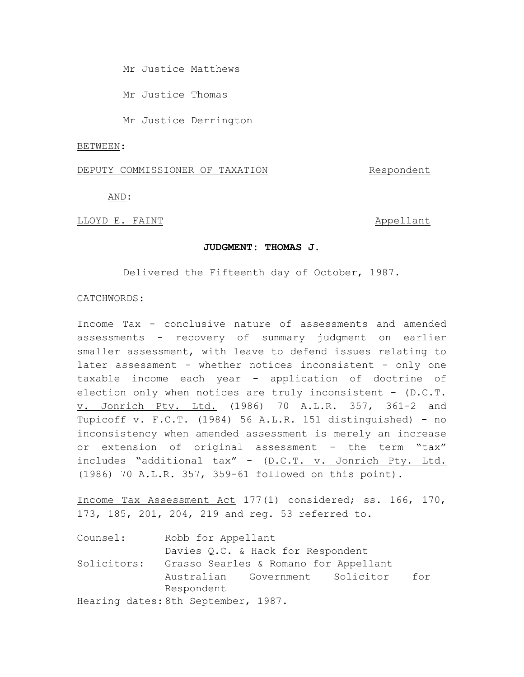Mr Justice Matthews

Mr Justice Thomas

Mr Justice Derrington

#### BETWEEN:

# DEPUTY COMMISSIONER OF TAXATION Respondent

AND:

### LLOYD E. FAINT Appellant

### **JUDGMENT: THOMAS J.**

Delivered the Fifteenth day of October, 1987.

# CATCHWORDS:

Income Tax - conclusive nature of assessments and amended assessments - recovery of summary judgment on earlier smaller assessment, with leave to defend issues relating to later assessment - whether notices inconsistent - only one taxable income each year - application of doctrine of election only when notices are truly inconsistent -  $(D.C.T.)$ v. Jonrich Pty. Ltd. (1986) 70 A.L.R. 357, 361-2 and Tupicoff v. F.C.T. (1984) 56 A.L.R. 151 distinguished) - no inconsistency when amended assessment is merely an increase or extension of original assessment - the term "tax" includes "additional tax" - (D.C.T. v. Jonrich Pty. Ltd. (1986) 70 A.L.R. 357, 359-61 followed on this point).

Income Tax Assessment Act 177(1) considered; ss. 166, 170, 173, 185, 201, 204, 219 and reg. 53 referred to.

| Counsel:    | Robb for Appellant                     |
|-------------|----------------------------------------|
|             | Davies Q.C. & Hack for Respondent      |
| Solicitors: | Grasso Searles & Romano for Appellant  |
|             | Australian Government Solicitor<br>for |
|             | Respondent                             |
|             | Hearing dates: 8th September, 1987.    |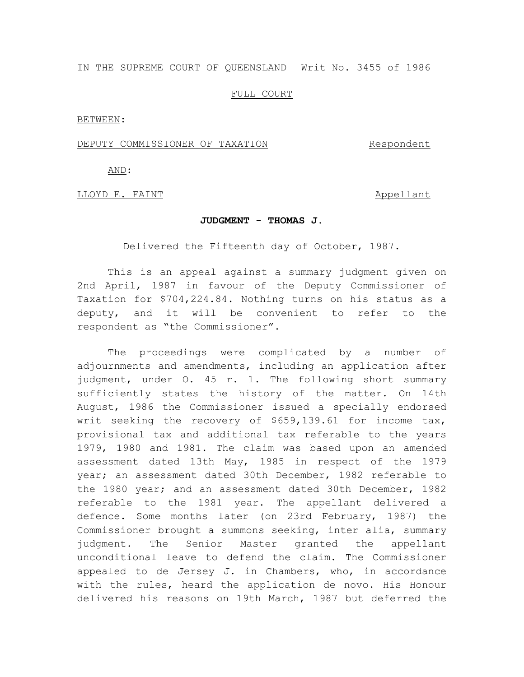# IN THE SUPREME COURT OF QUEENSLAND Writ No. 3455 of 1986

# FULL COURT

BETWEEN:

#### DEPUTY COMMISSIONER OF TAXATION THE Respondent

AND:

LLOYD E. FAINT **Appellant** 

#### **JUDGMENT - THOMAS J.**

Delivered the Fifteenth day of October, 1987.

This is an appeal against a summary judgment given on 2nd April, 1987 in favour of the Deputy Commissioner of Taxation for \$704,224.84. Nothing turns on his status as a deputy, and it will be convenient to refer to the respondent as "the Commissioner".

The proceedings were complicated by a number of adjournments and amendments, including an application after judgment, under O. 45 r. 1. The following short summary sufficiently states the history of the matter. On 14th August, 1986 the Commissioner issued a specially endorsed writ seeking the recovery of \$659,139.61 for income tax, provisional tax and additional tax referable to the years 1979, 1980 and 1981. The claim was based upon an amended assessment dated 13th May, 1985 in respect of the 1979 year; an assessment dated 30th December, 1982 referable to the 1980 year; and an assessment dated 30th December, 1982 referable to the 1981 year. The appellant delivered a defence. Some months later (on 23rd February, 1987) the Commissioner brought a summons seeking, inter alia, summary judgment. The Senior Master granted the appellant unconditional leave to defend the claim. The Commissioner appealed to de Jersey J. in Chambers, who, in accordance with the rules, heard the application de novo. His Honour delivered his reasons on 19th March, 1987 but deferred the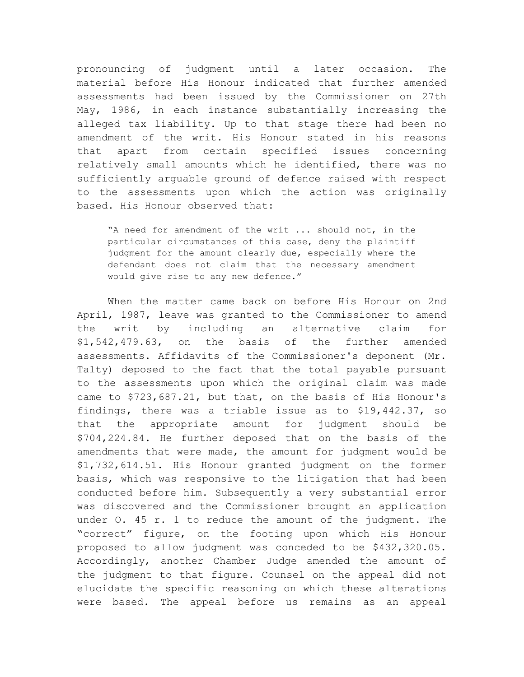pronouncing of judgment until a later occasion. The material before His Honour indicated that further amended assessments had been issued by the Commissioner on 27th May, 1986, in each instance substantially increasing the alleged tax liability. Up to that stage there had been no amendment of the writ. His Honour stated in his reasons that apart from certain specified issues concerning relatively small amounts which he identified, there was no sufficiently arguable ground of defence raised with respect to the assessments upon which the action was originally based. His Honour observed that:

"A need for amendment of the writ ... should not, in the particular circumstances of this case, deny the plaintiff judgment for the amount clearly due, especially where the defendant does not claim that the necessary amendment would give rise to any new defence."

When the matter came back on before His Honour on 2nd April, 1987, leave was granted to the Commissioner to amend the writ by including an alternative claim for \$1,542,479.63, on the basis of the further amended assessments. Affidavits of the Commissioner's deponent (Mr. Talty) deposed to the fact that the total payable pursuant to the assessments upon which the original claim was made came to \$723,687.21, but that, on the basis of His Honour's findings, there was a triable issue as to \$19,442.37, so that the appropriate amount for judgment should be \$704,224.84. He further deposed that on the basis of the amendments that were made, the amount for judgment would be \$1,732,614.51. His Honour granted judgment on the former basis, which was responsive to the litigation that had been conducted before him. Subsequently a very substantial error was discovered and the Commissioner brought an application under O. 45 r. 1 to reduce the amount of the judgment. The "correct" figure, on the footing upon which His Honour proposed to allow judgment was conceded to be \$432,320.05. Accordingly, another Chamber Judge amended the amount of the judgment to that figure. Counsel on the appeal did not elucidate the specific reasoning on which these alterations were based. The appeal before us remains as an appeal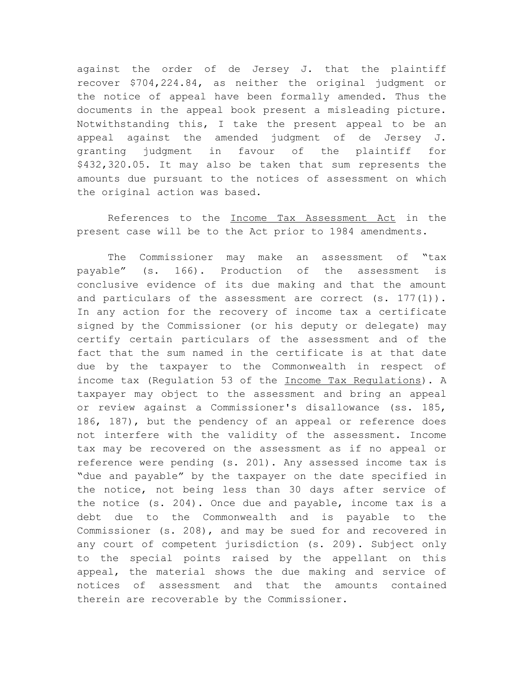against the order of de Jersey J. that the plaintiff recover \$704,224.84, as neither the original judgment or the notice of appeal have been formally amended. Thus the documents in the appeal book present a misleading picture. Notwithstanding this, I take the present appeal to be an appeal against the amended judgment of de Jersey J. granting judgment in favour of the plaintiff for \$432,320.05. It may also be taken that sum represents the amounts due pursuant to the notices of assessment on which the original action was based.

References to the Income Tax Assessment Act in the present case will be to the Act prior to 1984 amendments.

The Commissioner may make an assessment of "tax payable" (s. 166). Production of the assessment is conclusive evidence of its due making and that the amount and particulars of the assessment are correct (s. 177(1)). In any action for the recovery of income tax a certificate signed by the Commissioner (or his deputy or delegate) may certify certain particulars of the assessment and of the fact that the sum named in the certificate is at that date due by the taxpayer to the Commonwealth in respect of income tax (Regulation 53 of the Income Tax Regulations). A taxpayer may object to the assessment and bring an appeal or review against a Commissioner's disallowance (ss. 185, 186, 187), but the pendency of an appeal or reference does not interfere with the validity of the assessment. Income tax may be recovered on the assessment as if no appeal or reference were pending (s. 201). Any assessed income tax is "due and payable" by the taxpayer on the date specified in the notice, not being less than 30 days after service of the notice (s. 204). Once due and payable, income tax is a debt due to the Commonwealth and is payable to the Commissioner (s. 208), and may be sued for and recovered in any court of competent jurisdiction (s. 209). Subject only to the special points raised by the appellant on this appeal, the material shows the due making and service of notices of assessment and that the amounts contained therein are recoverable by the Commissioner.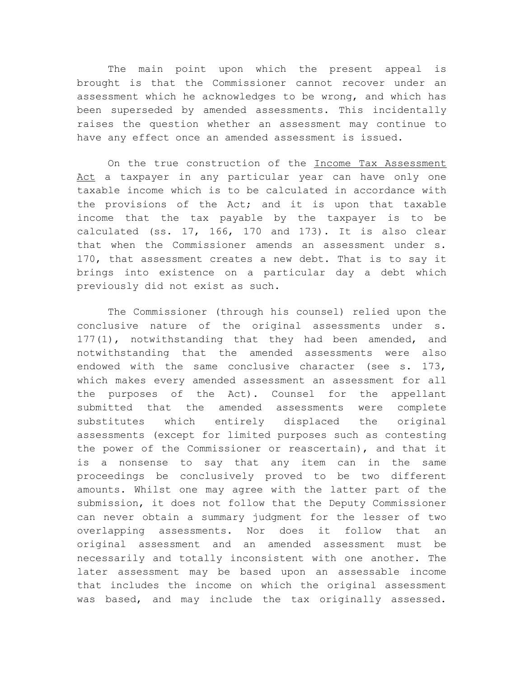The main point upon which the present appeal is brought is that the Commissioner cannot recover under an assessment which he acknowledges to be wrong, and which has been superseded by amended assessments. This incidentally raises the question whether an assessment may continue to have any effect once an amended assessment is issued.

On the true construction of the Income Tax Assessment Act a taxpayer in any particular year can have only one taxable income which is to be calculated in accordance with the provisions of the Act; and it is upon that taxable income that the tax payable by the taxpayer is to be calculated (ss. 17, 166, 170 and 173). It is also clear that when the Commissioner amends an assessment under s. 170, that assessment creates a new debt. That is to say it brings into existence on a particular day a debt which previously did not exist as such.

The Commissioner (through his counsel) relied upon the conclusive nature of the original assessments under s. 177(1), notwithstanding that they had been amended, and notwithstanding that the amended assessments were also endowed with the same conclusive character (see s. 173, which makes every amended assessment an assessment for all the purposes of the Act). Counsel for the appellant submitted that the amended assessments were complete substitutes which entirely displaced the original assessments (except for limited purposes such as contesting the power of the Commissioner or reascertain), and that it is a nonsense to say that any item can in the same proceedings be conclusively proved to be two different amounts. Whilst one may agree with the latter part of the submission, it does not follow that the Deputy Commissioner can never obtain a summary judgment for the lesser of two overlapping assessments. Nor does it follow that an original assessment and an amended assessment must be necessarily and totally inconsistent with one another. The later assessment may be based upon an assessable income that includes the income on which the original assessment was based, and may include the tax originally assessed.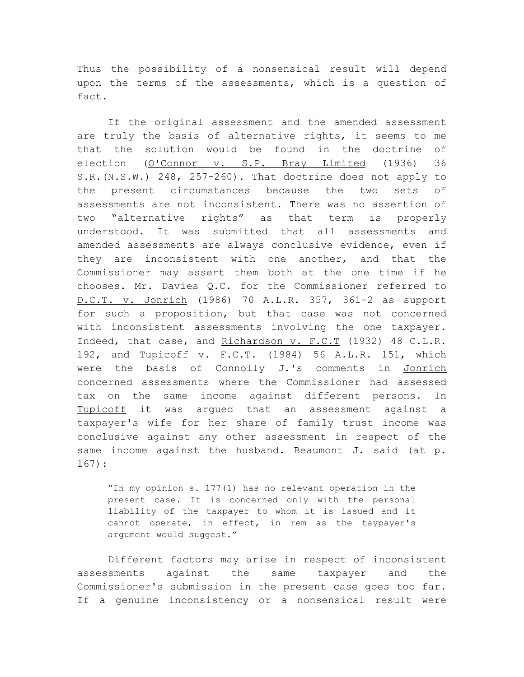Thus the possibility of a nonsensical result will depend upon the terms of the assessments, which is a question of fact.

If the original assessment and the amended assessment are truly the basis of alternative rights, it seems to me that the solution would be found in the doctrine of election (O'Connor v. S.P. Bray Limited (1936) 36 S.R.(N.S.W.) 248, 257-260). That doctrine does not apply to the present circumstances because the two sets of assessments are not inconsistent. There was no assertion of two "alternative rights" as that term is properly understood. It was submitted that all assessments and amended assessments are always conclusive evidence, even if they are inconsistent with one another, and that the Commissioner may assert them both at the one time if he chooses. Mr. Davies Q.C. for the Commissioner referred to D.C.T. v. Jonrich (1986) 70 A.L.R. 357, 361-2 as support for such a proposition, but that case was not concerned with inconsistent assessments involving the one taxpayer. Indeed, that case, and Richardson v. F.C.T (1932) 48 C.L.R. 192, and Tupicoff v. F.C.T. (1984) 56 A.L.R. 151, which were the basis of Connolly J.'s comments in Jonrich concerned assessments where the Commissioner had assessed tax on the same income against different persons. In Tupicoff it was argued that an assessment against a taxpayer's wife for her share of family trust income was conclusive against any other assessment in respect of the same income against the husband. Beaumont J. said (at p. 167):

"In my opinion s. 177(1) has no relevant operation in the present case. It is concerned only with the personal liability of the taxpayer to whom it is issued and it cannot operate, in effect, in rem as the taypayer's argument would suggest."

Different factors may arise in respect of inconsistent assessments against the same taxpayer and the Commissioner's submission in the present case goes too far. If a genuine inconsistency or a nonsensical result were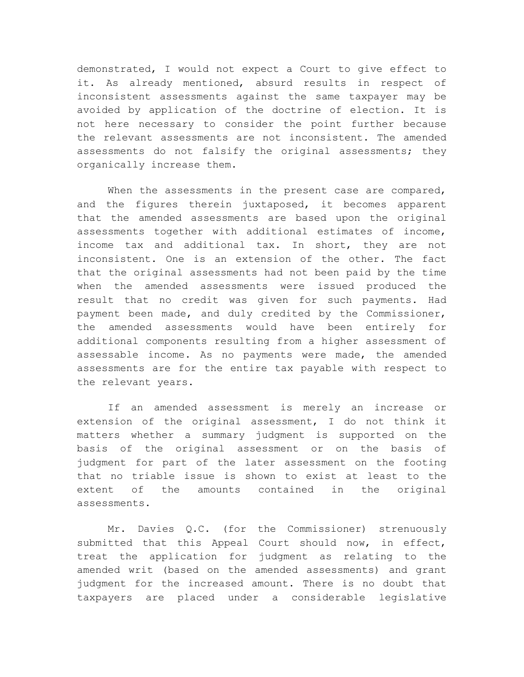demonstrated, I would not expect a Court to give effect to it. As already mentioned, absurd results in respect of inconsistent assessments against the same taxpayer may be avoided by application of the doctrine of election. It is not here necessary to consider the point further because the relevant assessments are not inconsistent. The amended assessments do not falsify the original assessments; they organically increase them.

When the assessments in the present case are compared, and the figures therein juxtaposed, it becomes apparent that the amended assessments are based upon the original assessments together with additional estimates of income, income tax and additional tax. In short, they are not inconsistent. One is an extension of the other. The fact that the original assessments had not been paid by the time when the amended assessments were issued produced the result that no credit was given for such payments. Had payment been made, and duly credited by the Commissioner, the amended assessments would have been entirely for additional components resulting from a higher assessment of assessable income. As no payments were made, the amended assessments are for the entire tax payable with respect to the relevant years.

If an amended assessment is merely an increase or extension of the original assessment, I do not think it matters whether a summary judgment is supported on the basis of the original assessment or on the basis of judgment for part of the later assessment on the footing that no triable issue is shown to exist at least to the extent of the amounts contained in the original assessments.

Mr. Davies Q.C. (for the Commissioner) strenuously submitted that this Appeal Court should now, in effect, treat the application for judgment as relating to the amended writ (based on the amended assessments) and grant judgment for the increased amount. There is no doubt that taxpayers are placed under a considerable legislative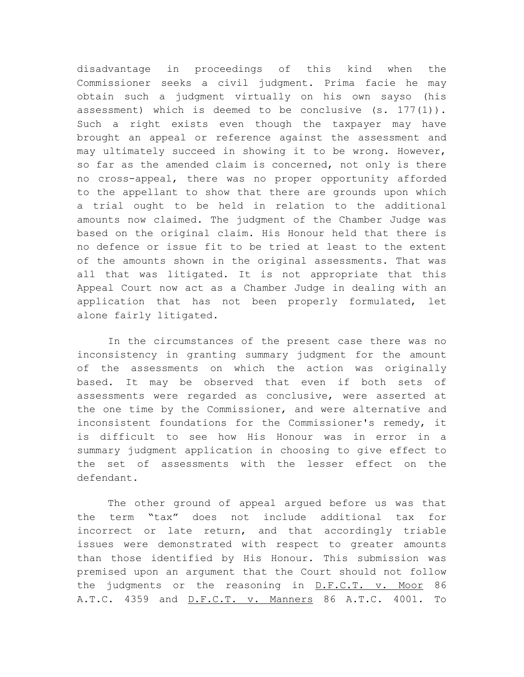disadvantage in proceedings of this kind when the Commissioner seeks a civil judgment. Prima facie he may obtain such a judgment virtually on his own sayso (his assessment) which is deemed to be conclusive  $(s. 177(1))$ . Such a right exists even though the taxpayer may have brought an appeal or reference against the assessment and may ultimately succeed in showing it to be wrong. However, so far as the amended claim is concerned, not only is there no cross-appeal, there was no proper opportunity afforded to the appellant to show that there are grounds upon which a trial ought to be held in relation to the additional amounts now claimed. The judgment of the Chamber Judge was based on the original claim. His Honour held that there is no defence or issue fit to be tried at least to the extent of the amounts shown in the original assessments. That was all that was litigated. It is not appropriate that this Appeal Court now act as a Chamber Judge in dealing with an application that has not been properly formulated, let alone fairly litigated.

In the circumstances of the present case there was no inconsistency in granting summary judgment for the amount of the assessments on which the action was originally based. It may be observed that even if both sets of assessments were regarded as conclusive, were asserted at the one time by the Commissioner, and were alternative and inconsistent foundations for the Commissioner's remedy, it is difficult to see how His Honour was in error in a summary judgment application in choosing to give effect to the set of assessments with the lesser effect on the defendant.

The other ground of appeal argued before us was that the term "tax" does not include additional tax for incorrect or late return, and that accordingly triable issues were demonstrated with respect to greater amounts than those identified by His Honour. This submission was premised upon an argument that the Court should not follow the judgments or the reasoning in D.F.C.T. v. Moor 86 A.T.C. 4359 and D.F.C.T. v. Manners 86 A.T.C. 4001. To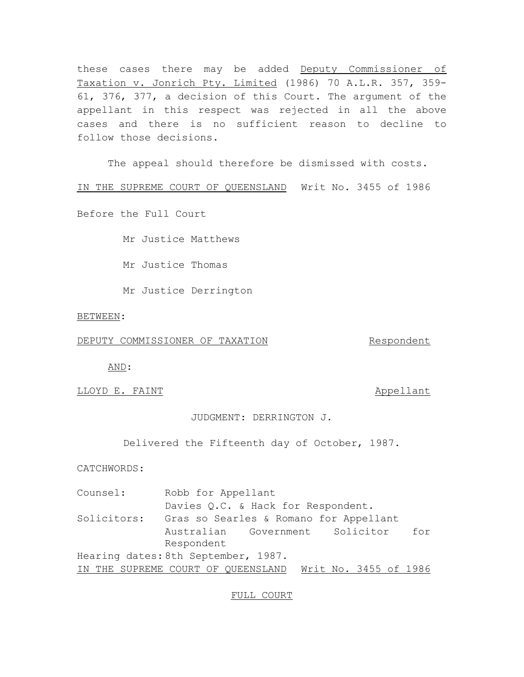these cases there may be added Deputy Commissioner of Taxation v. Jonrich Pty. Limited (1986) 70 A.L.R. 357, 359- 61, 376, 377, a decision of this Court. The argument of the appellant in this respect was rejected in all the above cases and there is no sufficient reason to decline to follow those decisions.

The appeal should therefore be dismissed with costs.

IN THE SUPREME COURT OF QUEENSLAND Writ No. 3455 of 1986

Before the Full Court

Mr Justice Matthews

Mr Justice Thomas

Mr Justice Derrington

BETWEEN:

DEPUTY COMMISSIONER OF TAXATION Respondent

AND:

LLOYD E. FAINT **Allows** Example 2011 11:30 appellant

JUDGMENT: DERRINGTON J.

Delivered the Fifteenth day of October, 1987.

CATCHWORDS:

Counsel: Robb for Appellant Davies Q.C. & Hack for Respondent. Solicitors: Gras so Searles & Romano for Appellant Australian Government Solicitor for Respondent Hearing dates: 8th September, 1987. IN THE SUPREME COURT OF QUEENSLAND Writ No. 3455 of 1986

FULL COURT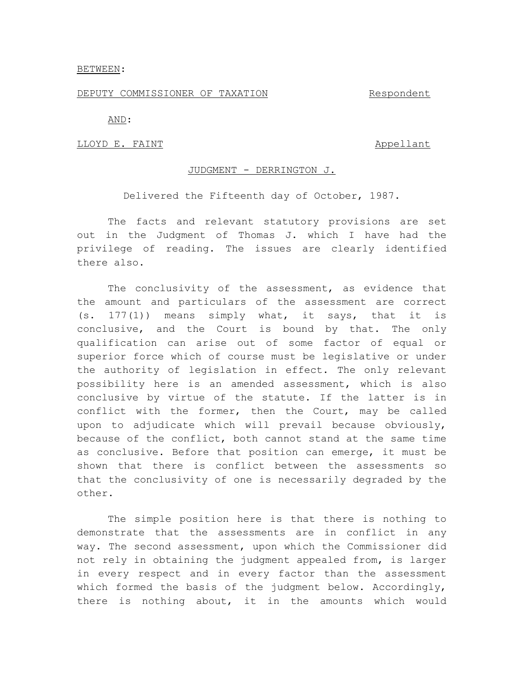# BETWEEN:

### DEPUTY COMMISSIONER OF TAXATION Respondent

AND:

### LLOYD E. FAINT Appellant

# JUDGMENT - DERRINGTON J.

Delivered the Fifteenth day of October, 1987.

The facts and relevant statutory provisions are set out in the Judgment of Thomas J. which I have had the privilege of reading. The issues are clearly identified there also.

The conclusivity of the assessment, as evidence that the amount and particulars of the assessment are correct (s. 177(1)) means simply what, it says, that it is conclusive, and the Court is bound by that. The only qualification can arise out of some factor of equal or superior force which of course must be legislative or under the authority of legislation in effect. The only relevant possibility here is an amended assessment, which is also conclusive by virtue of the statute. If the latter is in conflict with the former, then the Court, may be called upon to adjudicate which will prevail because obviously, because of the conflict, both cannot stand at the same time as conclusive. Before that position can emerge, it must be shown that there is conflict between the assessments so that the conclusivity of one is necessarily degraded by the other.

The simple position here is that there is nothing to demonstrate that the assessments are in conflict in any way. The second assessment, upon which the Commissioner did not rely in obtaining the judgment appealed from, is larger in every respect and in every factor than the assessment which formed the basis of the judgment below. Accordingly, there is nothing about, it in the amounts which would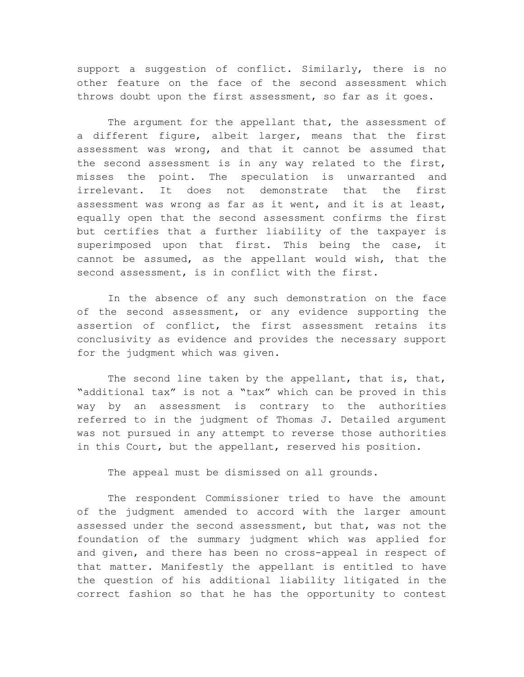support a suggestion of conflict. Similarly, there is no other feature on the face of the second assessment which throws doubt upon the first assessment, so far as it goes.

The argument for the appellant that, the assessment of a different figure, albeit larger, means that the first assessment was wrong, and that it cannot be assumed that the second assessment is in any way related to the first, misses the point. The speculation is unwarranted and irrelevant. It does not demonstrate that the first assessment was wrong as far as it went, and it is at least, equally open that the second assessment confirms the first but certifies that a further liability of the taxpayer is superimposed upon that first. This being the case, it cannot be assumed, as the appellant would wish, that the second assessment, is in conflict with the first.

In the absence of any such demonstration on the face of the second assessment, or any evidence supporting the assertion of conflict, the first assessment retains its conclusivity as evidence and provides the necessary support for the judgment which was given.

The second line taken by the appellant, that is, that, "additional tax" is not a "tax" which can be proved in this way by an assessment is contrary to the authorities referred to in the judgment of Thomas J. Detailed argument was not pursued in any attempt to reverse those authorities in this Court, but the appellant, reserved his position.

The appeal must be dismissed on all grounds.

The respondent Commissioner tried to have the amount of the judgment amended to accord with the larger amount assessed under the second assessment, but that, was not the foundation of the summary judgment which was applied for and given, and there has been no cross-appeal in respect of that matter. Manifestly the appellant is entitled to have the question of his additional liability litigated in the correct fashion so that he has the opportunity to contest